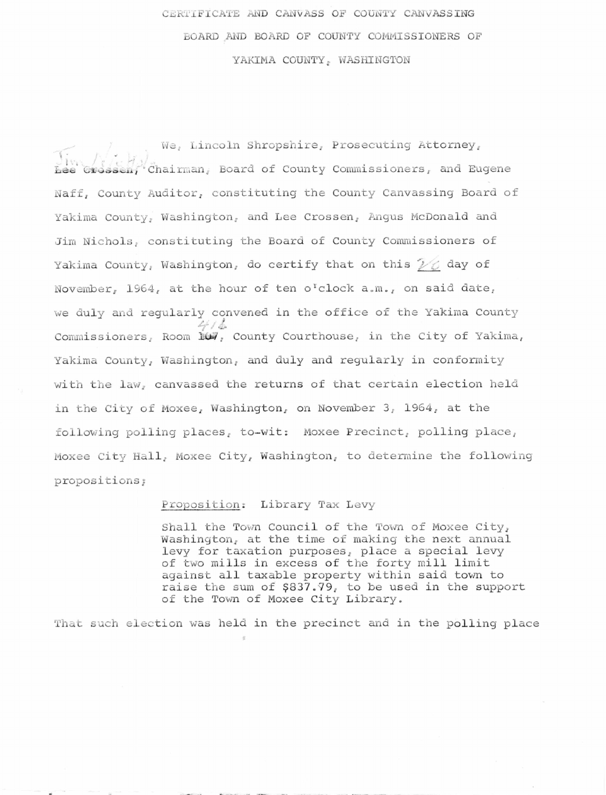## CERTIFICATE AND CANVASS OF COUNTY CANVASSING BOARD AND BOARD OF COUNTY COMMISSIONERS OF YAKIMA COUNTY, WASHINGTON

We, Lincoln Shropshire, Prosecuting Attorney,  $\overline{\text{base}}$  (Frank-Chairman, Board of County Commissioners, and Eugene Naff, County Auditor, constituting the County Canvassing Board of Yakima County, Washington, and Lee Crossen, Angus McDonald and Jim Nichols, constituting the Board of County Commissioners of Yakima County, Washington, do certify that on this  $\mathcal{V}\mathcal{C}$  day of November, 1964, at the hour of ten o'clock a.m., on said date, we duly and regularly convened in the office of the Yakima County Commissioners, Room **NO,** County Courthouse, in the City of Yakima, Yakima County, Washington, and duly and regularly in conformity with the law, canvassed the returns of that certain election held in the City of Moxee, Washington, on November 3, 1964, at the following polling places, to-wit: Moxee Precinct, polling place, Moxee City Hall, Moxee City, Washington, to determine the following propositions;

## Proposition: Library Tax Levy

Shall the Town Council of the Town of Moxee City, Washington, at the time of making the next annual levy for taxation purposes, place a special levy of two mills in excess of the forty mill limit against all taxable property within said town to raise the sum of \$837.79, to be used in the support of the Town of Moxee City Library.

That such election was held in the precinct and in the polling place